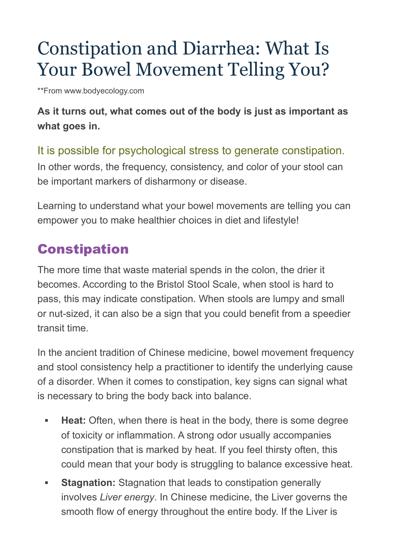# Constipation and Diarrhea: What Is Your Bowel Movement Telling You?

\*\*From www.bodyecology.com

#### **As it turns out, what comes out of the body is just as important as what goes in.**

#### It is possible for psychological stress to generate constipation.

In other words, the frequency, consistency, and color of your stool can be important markers of disharmony or disease.

Learning to understand what your bowel movements are telling you can empower you to make healthier choices in diet and lifestyle!

## **Constipation**

The more time that waste material spends in the colon, the drier it becomes. According to the Bristol Stool Scale, when stool is hard to pass, this may indicate constipation. When stools are lumpy and small or nut-sized, it can also be a sign that you could benefit from a speedier transit time.

In the ancient tradition of Chinese medicine, bowel movement frequency and stool consistency help a practitioner to identify the underlying cause of a disorder. When it comes to constipation, key signs can signal what is necessary to bring the body back into balance.

- **Heat:** Often, when there is heat in the body, there is some degree of toxicity or inflammation. A strong odor usually accompanies constipation that is marked by heat. If you feel thirsty often, this could mean that your body is struggling to balance excessive heat.
- **Stagnation:** Stagnation that leads to constipation generally involves *Liver energy*. In Chinese medicine, the Liver governs the smooth flow of energy throughout the entire body. If the Liver is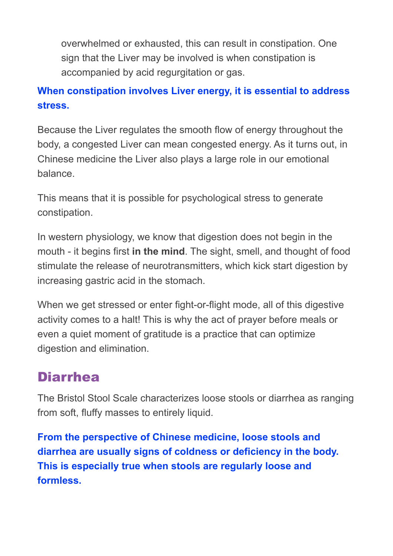overwhelmed or exhausted, this can result in constipation. One sign that the Liver may be involved is when constipation is accompanied by acid regurgitation or gas.

#### **When constipation involves Liver energy, it is essential to address stress.**

Because the Liver regulates the smooth flow of energy throughout the body, a congested Liver can mean congested energy. As it turns out, in Chinese medicine the Liver also plays a large role in our emotional balance.

This means that it is possible for psychological stress to generate constipation.

In western physiology, we know that digestion does not begin in the mouth - it begins first **in the mind**. The sight, smell, and thought of food stimulate the release of neurotransmitters, which kick start digestion by increasing gastric acid in the stomach.

When we get stressed or enter fight-or-flight mode, all of this digestive activity comes to a halt! This is why the act of prayer before meals or even a quiet moment of gratitude is a practice that can optimize digestion and elimination.

### Diarrhea

The Bristol Stool Scale characterizes loose stools or diarrhea as ranging from soft, fluffy masses to entirely liquid.

**From the perspective of Chinese medicine, loose stools and diarrhea are usually signs of coldness or deficiency in the body. This is especially true when stools are regularly loose and formless.**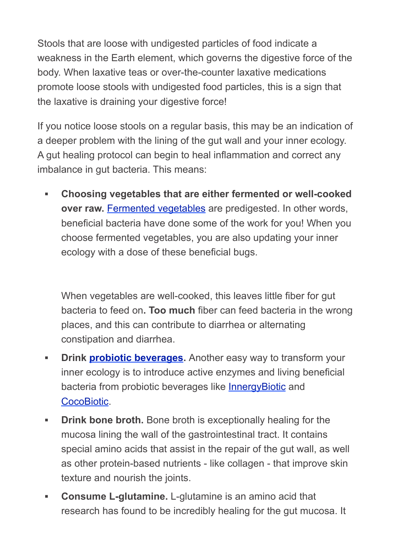Stools that are loose with undigested particles of food indicate a weakness in the Earth element, which governs the digestive force of the body. When laxative teas or over-the-counter laxative medications promote loose stools with undigested food particles, this is a sign that the laxative is draining your digestive force!

If you notice loose stools on a regular basis, this may be an indication of a deeper problem with the lining of the gut wall and your inner ecology. A gut healing protocol can begin to heal inflammation and correct any imbalance in gut bacteria. This means:

**▪ Choosing vegetables that are either fermented or well-cooked over raw. [Fermented vegetables](https://bodyecology.com/control-weight-vegetable-culture-starter.html) are predigested. In other words,** beneficial bacteria have done some of the work for you! When you choose fermented vegetables, you are also updating your inner ecology with a dose of these beneficial bugs.

When vegetables are well-cooked, this leaves little fiber for gut bacteria to feed on**. Too much** fiber can feed bacteria in the wrong places, and this can contribute to diarrhea or alternating constipation and diarrhea.

- **<u><b>•** Drink [probiotic beverages.](https://bodyecology.com/probiotic-beverages.html) Another easy way to transform your</u> inner ecology is to introduce active enzymes and living beneficial bacteria from probiotic beverages like [InnergyBiotic](https://bodyecology.com/innergy-biotic-1250ml.html) and [CocoBiotic](https://bodyecology.com/probiotic-drink-coco-biotic.html).
- **Drink bone broth.** Bone broth is exceptionally healing for the mucosa lining the wall of the gastrointestinal tract. It contains special amino acids that assist in the repair of the gut wall, as well as other protein-based nutrients - like collagen - that improve skin texture and nourish the joints.
- **▪ Consume L-glutamine.** L-glutamine is an amino acid that research has found to be incredibly healing for the gut mucosa. It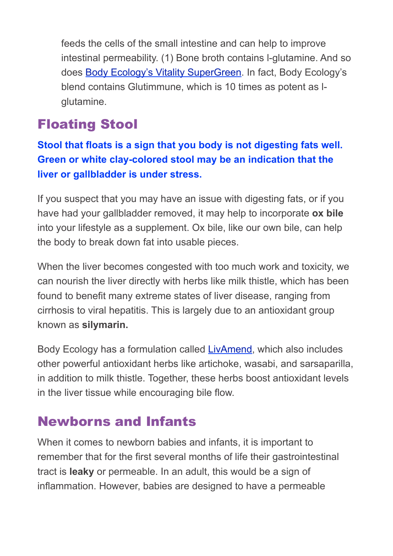feeds the cells of the small intestine and can help to improve intestinal permeability. (1) Bone broth contains l-glutamine. And so does [Body Ecology's Vitality SuperGreen.](https://bodyecology.com/the-immune-system-vitality-supergreen.html) In fact, Body Ecology's blend contains Glutimmune, which is 10 times as potent as lglutamine.

### Floating Stool

**Stool that floats is a sign that you body is not digesting fats well. Green or white clay-colored stool may be an indication that the liver or gallbladder is under stress.**

If you suspect that you may have an issue with digesting fats, or if you have had your gallbladder removed, it may help to incorporate **ox bile** into your lifestyle as a supplement. Ox bile, like our own bile, can help the body to break down fat into usable pieces.

When the liver becomes congested with too much work and toxicity, we can nourish the liver directly with herbs like milk thistle, which has been found to benefit many extreme states of liver disease, ranging from cirrhosis to viral hepatitis. This is largely due to an antioxidant group known as **silymarin.**

Body Ecology has a formulation called [LivAmend,](https://bodyecology.com/natural-liver-cleanse-livamend.html) which also includes other powerful antioxidant herbs like artichoke, wasabi, and sarsaparilla, in addition to milk thistle. Together, these herbs boost antioxidant levels in the liver tissue while encouraging bile flow.

### Newborns and Infants

When it comes to newborn babies and infants, it is important to remember that for the first several months of life their gastrointestinal tract is **leaky** or permeable. In an adult, this would be a sign of inflammation. However, babies are designed to have a permeable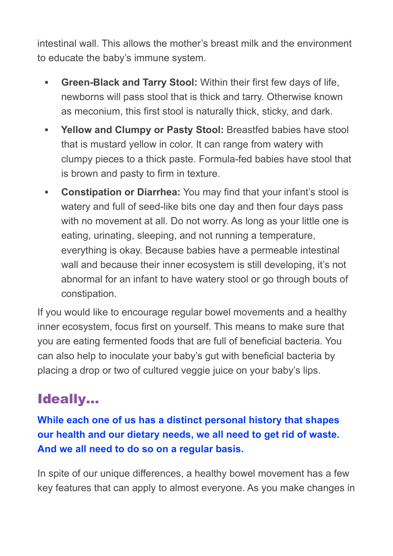intestinal wall. This allows the mother's breast milk and the environment to educate the baby's immune system.

- **▪ Green-Black and Tarry Stool:** Within their first few days of life, newborns will pass stool that is thick and tarry. Otherwise known as meconium, this first stool is naturally thick, sticky, and dark.
- **▪ Yellow and Clumpy or Pasty Stool:** Breastfed babies have stool that is mustard yellow in color. It can range from watery with clumpy pieces to a thick paste. Formula-fed babies have stool that is brown and pasty to firm in texture.
- **Constipation or Diarrhea:** You may find that your infant's stool is watery and full of seed-like bits one day and then four days pass with no movement at all. Do not worry. As long as your little one is eating, urinating, sleeping, and not running a temperature, everything is okay. Because babies have a permeable intestinal wall and because their inner ecosystem is still developing, it's not abnormal for an infant to have watery stool or go through bouts of constipation.

If you would like to encourage regular bowel movements and a healthy inner ecosystem, focus first on yourself. This means to make sure that you are eating fermented foods that are full of beneficial bacteria. You can also help to inoculate your baby's gut with beneficial bacteria by placing a drop or two of cultured veggie juice on your baby's lips.

# Ideally…

**While each one of us has a distinct personal history that shapes our health and our dietary needs, we all need to get rid of waste. And we all need to do so on a regular basis.**

In spite of our unique differences, a healthy bowel movement has a few key features that can apply to almost everyone. As you make changes in